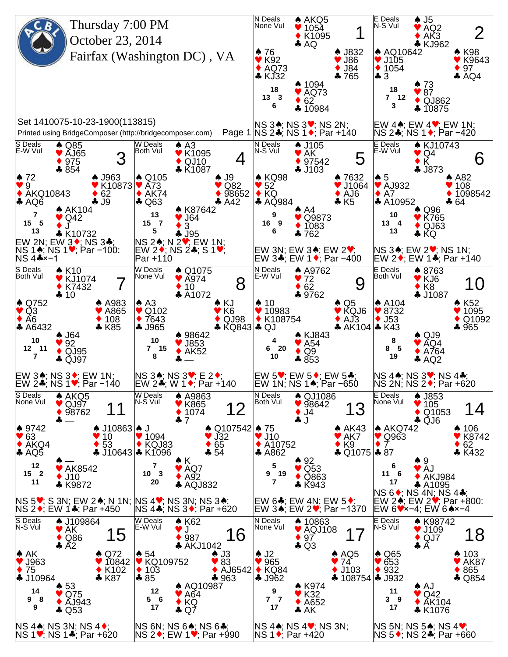